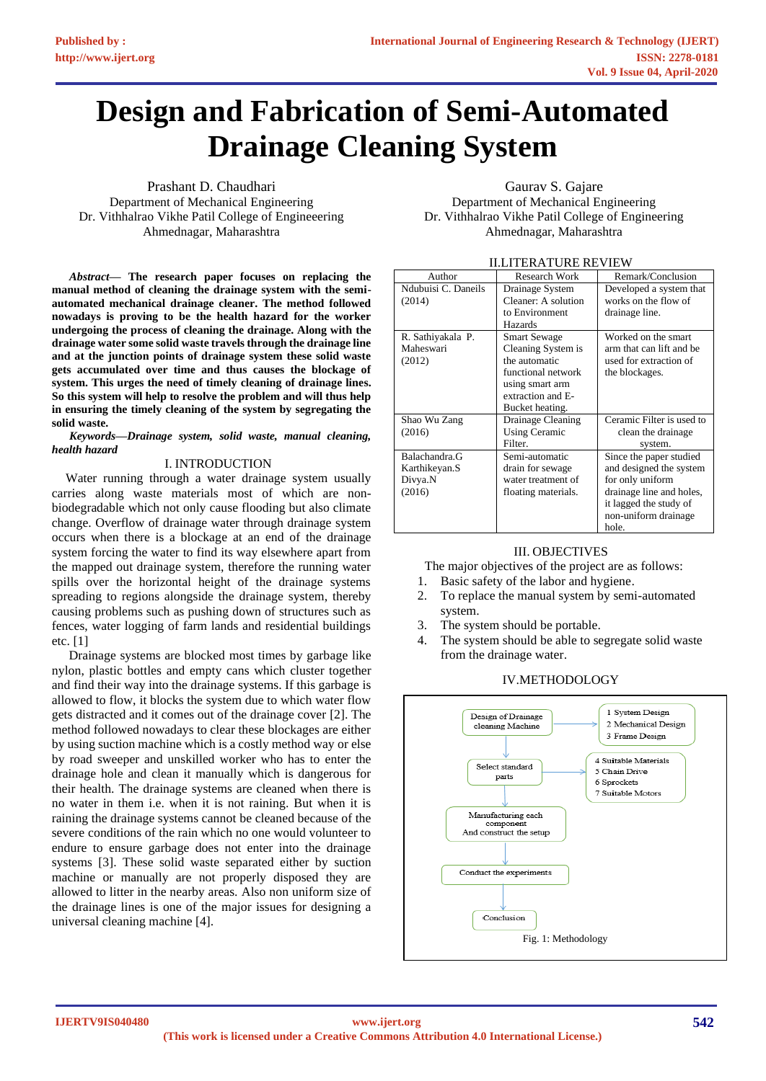# **Design and Fabrication of Semi-Automated Drainage Cleaning System**

Prashant D. Chaudhari Department of Mechanical Engineering Dr. Vithhalrao Vikhe Patil College of Engineeering Ahmednagar, Maharashtra

*Abstract***— The research paper focuses on replacing the manual method of cleaning the drainage system with the semiautomated mechanical drainage cleaner. The method followed nowadays is proving to be the health hazard for the worker undergoing the process of cleaning the drainage. Along with the drainage water some solid waste travels through the drainage line and at the junction points of drainage system these solid waste gets accumulated over time and thus causes the blockage of system. This urges the need of timely cleaning of drainage lines. So this system will help to resolve the problem and will thus help in ensuring the timely cleaning of the system by segregating the solid waste.**

*Keywords—Drainage system, solid waste, manual cleaning, health hazard*

#### I. INTRODUCTION

Water running through a water drainage system usually carries along waste materials most of which are nonbiodegradable which not only cause flooding but also climate change. Overflow of drainage water through drainage system occurs when there is a blockage at an end of the drainage system forcing the water to find its way elsewhere apart from the mapped out drainage system, therefore the running water spills over the horizontal height of the drainage systems spreading to regions alongside the drainage system, thereby causing problems such as pushing down of structures such as fences, water logging of farm lands and residential buildings etc. [1]

Drainage systems are blocked most times by garbage like nylon, plastic bottles and empty cans which cluster together and find their way into the drainage systems. If this garbage is allowed to flow, it blocks the system due to which water flow gets distracted and it comes out of the drainage cover [2]. The method followed nowadays to clear these blockages are either by using suction machine which is a costly method way or else by road sweeper and unskilled worker who has to enter the drainage hole and clean it manually which is dangerous for their health. The drainage systems are cleaned when there is no water in them i.e. when it is not raining. But when it is raining the drainage systems cannot be cleaned because of the severe conditions of the rain which no one would volunteer to endure to ensure garbage does not enter into the drainage systems [3]. These solid waste separated either by suction machine or manually are not properly disposed they are allowed to litter in the nearby areas. Also non uniform size of the drainage lines is one of the major issues for designing a universal cleaning machine [4].

#### Gaurav S. Gajare

Department of Mechanical Engineering Dr. Vithhalrao Vikhe Patil College of Engineering Ahmednagar, Maharashtra

| II.LITERATURE REVIEW |                      |                           |  |
|----------------------|----------------------|---------------------------|--|
| Author               | Research Work        | Remark/Conclusion         |  |
| Ndubuisi C. Daneils  | Drainage System      | Developed a system that   |  |
| (2014)               | Cleaner: A solution  | works on the flow of      |  |
|                      | to Environment       | drainage line.            |  |
|                      | Hazards              |                           |  |
| R. Sathiyakala P.    | <b>Smart Sewage</b>  | Worked on the smart       |  |
| Maheswari            | Cleaning System is   | arm that can lift and be  |  |
| (2012)               | the automatic        | used for extraction of    |  |
|                      | functional network   | the blockages.            |  |
|                      | using smart arm      |                           |  |
|                      | extraction and E-    |                           |  |
|                      | Bucket heating.      |                           |  |
| Shao Wu Zang         | Drainage Cleaning    | Ceramic Filter is used to |  |
| (2016)               | <b>Using Ceramic</b> | clean the drainage        |  |
|                      | Filter.              | system.                   |  |
| Balachandra.G        | Semi-automatic       | Since the paper studied   |  |
| Karthikeyan.S        | drain for sewage     | and designed the system   |  |
| Divya.N              | water treatment of   | for only uniform          |  |
| (2016)               | floating materials.  | drainage line and holes,  |  |
|                      |                      | it lagged the study of    |  |
|                      |                      | non-uniform drainage      |  |
|                      |                      | hole.                     |  |

## III. OBJECTIVES

The major objectives of the project are as follows:

- 1. Basic safety of the labor and hygiene.
- 2. To replace the manual system by semi-automated system.
- 3. The system should be portable.
- 4. The system should be able to segregate solid waste from the drainage water.

## IV.METHODOLOGY

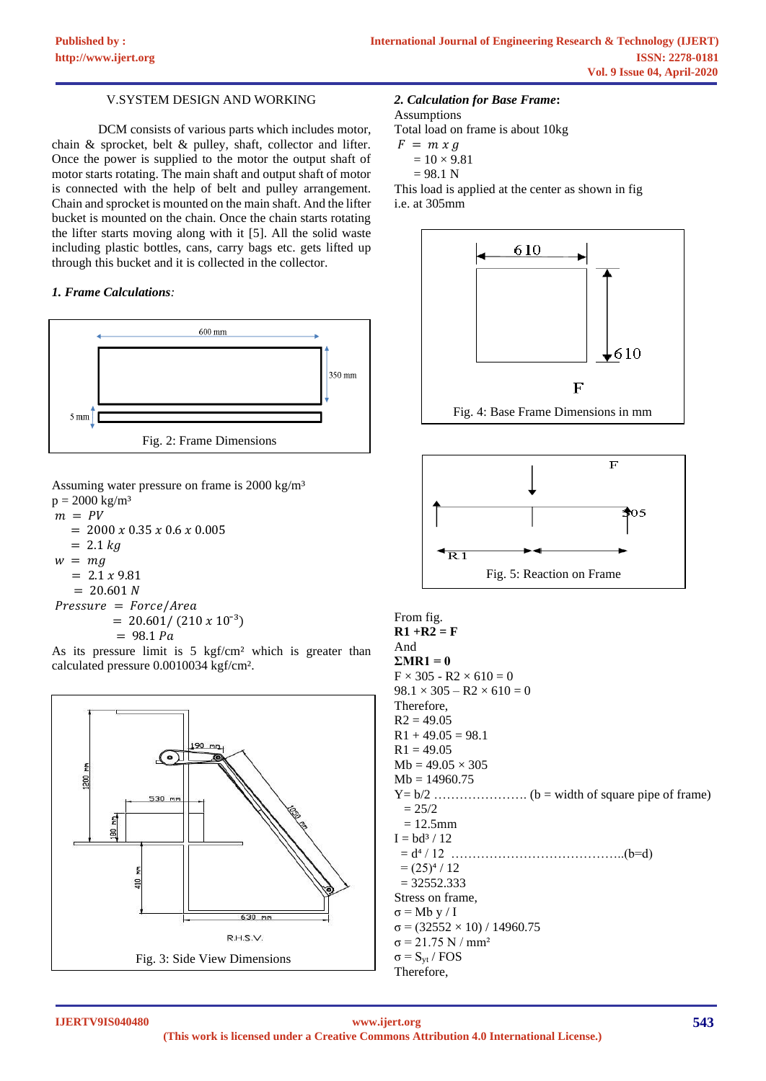## V.SYSTEM DESIGN AND WORKING

DCM consists of various parts which includes motor, chain & sprocket, belt & pulley, shaft, collector and lifter. Once the power is supplied to the motor the output shaft of motor starts rotating. The main shaft and output shaft of motor is connected with the help of belt and pulley arrangement. Chain and sprocket is mounted on the main shaft. And the lifter bucket is mounted on the chain. Once the chain starts rotating the lifter starts moving along with it [5]. All the solid waste including plastic bottles, cans, carry bags etc. gets lifted up through this bucket and it is collected in the collector.

#### *1. Frame Calculations:*



Assuming water pressure on frame is 2000 kg/m³

 $p = 2000 \text{ kg/m}^3$  $m = PV$  $= 2000 x 0.35 x 0.6 x 0.005$  $= 2.1 kg$  $w = mg$  $= 2.1 x 9.81$  $= 20.601 N$  $Pressure = Force/Area$  $= 20.601 / (210 \times 10^{-3})$  $= 98.1 Pa$ 

As its pressure limit is 5 kgf/cm² which is greater than calculated pressure 0.0010034 kgf/cm².



#### *2. Calculation for Base Frame***:**

Assumptions

Total load on frame is about 10kg

- $F = m x g$ 
	- $= 10 \times 9.81$
- $= 98.1 N$

This load is applied at the center as shown in fig i.e. at 305mm





From fig. **R1 +R2 = F** And  $\Sigma MR1 = 0$  $F \times 305 - R2 \times 610 = 0$  $98.1 \times 305 - R2 \times 610 = 0$ Therefore,  $R2 = 49.05$  $R1 + 49.05 = 98.1$  $R1 = 49.05$  $Mb = 49.05 \times 305$  $Mb = 14960.75$ Y= b/2 …………………. (b = width of square pipe of frame)  $= 25/2$  $= 12.5$ mm  $I = bd^3 / 12$  = d⁴ / 12 …………………………………..(b=d)  $=(25)^4/12$  $= 32552.333$ Stress on frame,  $\sigma = Mb \, y / I$  $σ = (32552 × 10) / 14960.75$ σ = 21.75 N / mm²  $σ = S<sub>vt</sub> / FOS$ Therefore,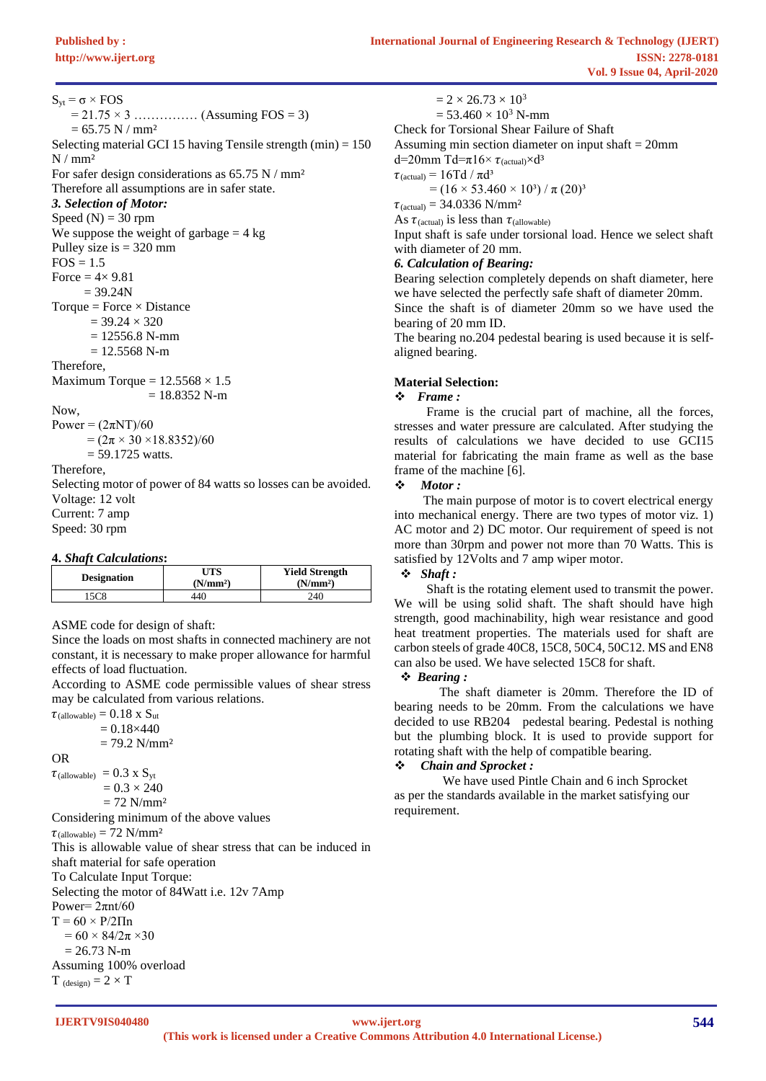$S_{vt} = \sigma \times FOS$ 

 $= 21.75 \times 3$  …………… (Assuming FOS = 3)  $= 65.75$  N / mm<sup>2</sup> Selecting material GCI 15 having Tensile strength (min) = 150  $N / mm<sup>2</sup>$ For safer design considerations as  $65.75$  N / mm<sup>2</sup> Therefore all assumptions are in safer state. *3. Selection of Motor:* Speed  $(N) = 30$  rpm We suppose the weight of garbage  $= 4 \text{ kg}$ Pulley size is  $= 320$  mm  $FOS = 1.5$ Force  $= 4 \times 9.81$  $= 39.24N$ Torque = Force  $\times$  Distance  $= 39.24 \times 320$  $= 12556.8$  N-mm  $= 12.5568$  N-m Therefore, Maximum Torque =  $12.5568 \times 1.5$  $= 18.8352$  N-m Now, Power =  $(2\pi NT)/60$  $= (2\pi \times 30 \times 18.8352)/60$  $= 59.1725$  watts. Therefore, Selecting motor of power of 84 watts so losses can be avoided. Voltage: 12 volt Current: 7 amp Speed: 30 rpm **4.** *Shaft Calculations***:**

| $\tau$ . $\sigma$ $\mu$ $\mu$ $\tau$ $\sigma$ | UTS                  | <b>Yield Strength</b> |
|-----------------------------------------------|----------------------|-----------------------|
| <b>Designation</b>                            | (N/mm <sup>2</sup> ) | (N/mm <sup>2</sup> )  |
| 5C8                                           | 440                  | 240                   |

ASME code for design of shaft:

Since the loads on most shafts in connected machinery are not constant, it is necessary to make proper allowance for harmful effects of load fluctuation.

According to ASME code permissible values of shear stress may be calculated from various relations.

 $\tau$ (allowable) = 0.18 x  $S_{\text{nt}}$ 

 $= 0.18\times 440$ 

 $= 79.2$  N/mm<sup>2</sup>

OR

 $\tau$ (allowable) = 0.3 x S<sub>yt</sub>  $= 0.3 \times 240$ 

 $= 72$  N/mm<sup>2</sup>

Considering minimum of the above values

 $\tau$ <sub>(allowable)</sub> = 72 N/mm<sup>2</sup>

This is allowable value of shear stress that can be induced in shaft material for safe operation To Calculate Input Torque:

Selecting the motor of 84Watt i.e. 12v 7Amp

Power=  $2\pi$ nt/60

 $T = 60 \times P/2 \Pi n$ 

 $= 60 \times 84/2\pi \times 30$ 

 $= 26.73$  N-m

Assuming 100% overload  $T_{(design)} = 2 \times T$ 

 $= 2 \times 26.73 \times 10^{3}$ 

 $= 53.460 \times 10^3$  N-mm

Check for Torsional Shear Failure of Shaft

Assuming min section diameter on input shaft  $= 20$ mm

d=20mm Td= $\pi$ 16×  $\tau$ <sub>(actual)</sub>×d<sup>3</sup>

 $\tau$ <sub>(actual)</sub> = 16Td /  $\pi d^3$ 

 $=$  (16  $\times$  53.460  $\times$  10<sup>3</sup>) /  $\pi$  (20)<sup>3</sup>

 $\tau_{\text{(actual)}} = 34.0336 \text{ N/mm}^2$ 

As  $\tau$ <sub>(actual)</sub> is less than  $\tau$ <sub>(allowable)</sub>

Input shaft is safe under torsional load. Hence we select shaft with diameter of 20 mm.

## *6. Calculation of Bearing:*

Bearing selection completely depends on shaft diameter, here we have selected the perfectly safe shaft of diameter 20mm. Since the shaft is of diameter 20mm so we have used the bearing of 20 mm ID.

The bearing no.204 pedestal bearing is used because it is selfaligned bearing.

## **Material Selection:**

#### ❖ *Frame :*

 Frame is the crucial part of machine, all the forces, stresses and water pressure are calculated. After studying the results of calculations we have decided to use GCI15 material for fabricating the main frame as well as the base frame of the machine [6].

## ❖ *Motor :*

 The main purpose of motor is to covert electrical energy into mechanical energy. There are two types of motor viz. 1) AC motor and 2) DC motor. Our requirement of speed is not more than 30rpm and power not more than 70 Watts. This is satisfied by 12Volts and 7 amp wiper motor.

# ❖ *Shaft :*

 Shaft is the rotating element used to transmit the power. We will be using solid shaft. The shaft should have high strength, good machinability, high wear resistance and good heat treatment properties. The materials used for shaft are carbon steels of grade 40C8, 15C8, 50C4, 50C12. MS and EN8 can also be used. We have selected 15C8 for shaft.

#### ❖ *Bearing :*

 The shaft diameter is 20mm. Therefore the ID of bearing needs to be 20mm. From the calculations we have decided to use RB204 pedestal bearing. Pedestal is nothing but the plumbing block. It is used to provide support for rotating shaft with the help of compatible bearing.

# ❖ *Chain and Sprocket :*

 We have used Pintle Chain and 6 inch Sprocket as per the standards available in the market satisfying our requirement.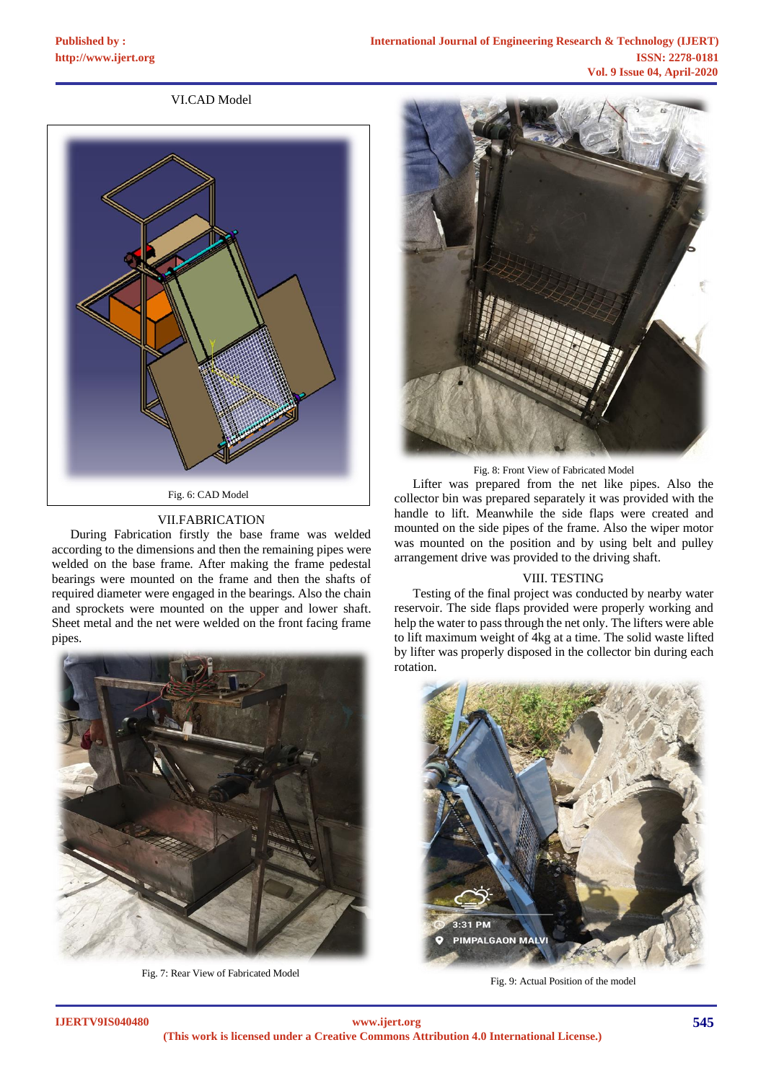# VI.CAD Model



## VII.FABRICATION

During Fabrication firstly the base frame was welded according to the dimensions and then the remaining pipes were welded on the base frame. After making the frame pedestal bearings were mounted on the frame and then the shafts of required diameter were engaged in the bearings. Also the chain and sprockets were mounted on the upper and lower shaft. Sheet metal and the net were welded on the front facing frame pipes.



Fig. 7: Rear View of Fabricated Model



Fig. 8: Front View of Fabricated Model

Lifter was prepared from the net like pipes. Also the collector bin was prepared separately it was provided with the handle to lift. Meanwhile the side flaps were created and mounted on the side pipes of the frame. Also the wiper motor was mounted on the position and by using belt and pulley arrangement drive was provided to the driving shaft.

#### VIII. TESTING

Testing of the final project was conducted by nearby water reservoir. The side flaps provided were properly working and help the water to pass through the net only. The lifters were able to lift maximum weight of 4kg at a time. The solid waste lifted by lifter was properly disposed in the collector bin during each rotation.



Fig. 9: Actual Position of the model